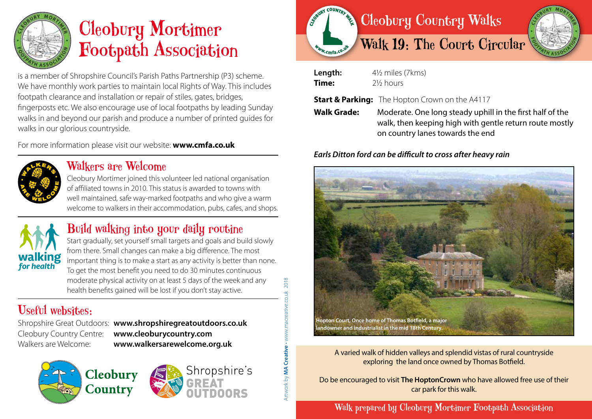

# Cleobury Mortimer Footpath Association

is a member of Shropshire Council's Parish Paths Partnership (P3) scheme. We have monthly work parties to maintain local Rights of Way. This includes footpath clearance and installation or repair of stiles, gates, bridges, fingerposts etc. We also encourage use of local footpaths by leading Sunday walks in and beyond our parish and produce a number of printed guides for walks in our glorious countryside.

For more information please visit our website: **www.cmfa.co.uk**



#### Walkers are Welcome

Cleobury Mortimer joined this volunteer led national organisation of affiliated towns in 2010. This status is awarded to towns with well maintained, safe way-marked footpaths and who give a warm welcome to walkers in their accommodation, pubs, cafes, and shops.



### Build walking into your daily routine

Start gradually, set yourself small targets and goals and build slowly from there. Small changes can make a big difference. The most important thing is to make a start as any activity is better than none. To get the most benefit you need to do 30 minutes continuous moderate physical activity on at least 5 days of the week and any health benefits gained will be lost if you don't stay active.

## Useful websites:

Shropshire Great Outdoors: **www.shropshiregreatoutdoors.co.uk**  Cleobury Country Centre: **www.cleoburycountry.com** Walkers are Welcome: **www.walkersarewelcome.org.uk**

Artwork by **MA Creative** • www.macreative.co.uk 2018w.macreative.co.uk Artwork by MA Creative

2018





| Length:            | $4\frac{1}{2}$ miles (7 kms)                                                                                                                                                                                          |
|--------------------|-----------------------------------------------------------------------------------------------------------------------------------------------------------------------------------------------------------------------|
| Time:              | 2½ hours                                                                                                                                                                                                              |
| <b>Walk Grade:</b> | <b>Start &amp; Parking:</b> The Hopton Crown on the A4117<br>Moderate. One long steady uphill in the first half of the<br>walk, then keeping high with gentle return route mostly<br>on country lanes towards the end |

#### *Earls Ditton ford can be difficult to cross after heavy rain*



A varied walk of hidden valleys and splendid vistas of rural countryside exploring the land once owned by Thomas Botfield.

Do be encouraged to visit **The HoptonCrown** who have allowed free use of their car park for this walk.

Walk prepared by Cleobury Mortimer Footpath Association